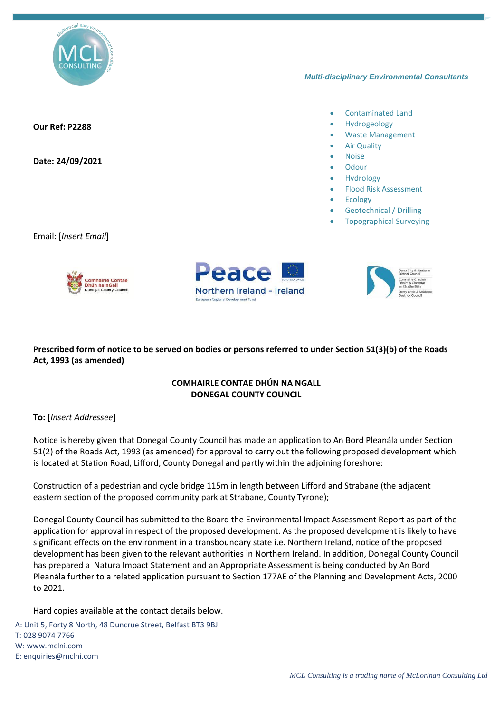

## *Multi-disciplinary Environmental Consultants*

## • Contaminated Land • Hydrogeology **Our Ref: P2288** • Waste Management **Air Quality** • Noise **Date: 24/09/2021 Odour Hydrology** • Flood Risk Assessment **Ecology** • Geotechnical / Drilling • Topographical SurveyingEmail: [*Insert Email*] eace

## **Prescribed form of notice to be served on bodies or persons referred to under Section 51(3)(b) of the Roads Act, 1993 (as amended)**

Northern Ireland - Ireland

## **COMHAIRLE CONTAE DHÚN NA NGALL DONEGAL COUNTY COUNCIL**

**To: [***Insert Addressee***]**

Notice is hereby given that Donegal County Council has made an application to An Bord Pleanála under Section 51(2) of the Roads Act, 1993 (as amended) for approval to carry out the following proposed development which is located at Station Road, Lifford, County Donegal and partly within the adjoining foreshore:

Construction of a pedestrian and cycle bridge 115m in length between Lifford and Strabane (the adjacent eastern section of the proposed community park at Strabane, County Tyrone);

Donegal County Council has submitted to the Board the Environmental Impact Assessment Report as part of the application for approval in respect of the proposed development. As the proposed development is likely to have significant effects on the environment in a transboundary state i.e. Northern Ireland, notice of the proposed development has been given to the relevant authorities in Northern Ireland. In addition, Donegal County Council has prepared a Natura Impact Statement and an Appropriate Assessment is being conducted by An Bord Pleanála further to a related application pursuant to Section 177AE of the Planning and Development Acts, 2000 to 2021.

Hard copies available at the contact details below.

A: Unit 5, Forty 8 North, 48 Duncrue Street, Belfast BT3 9BJ T: 028 9074 7766 W: www.mclni.com E[: enquiries@mclni.com](mailto:enquiries@mclni.com)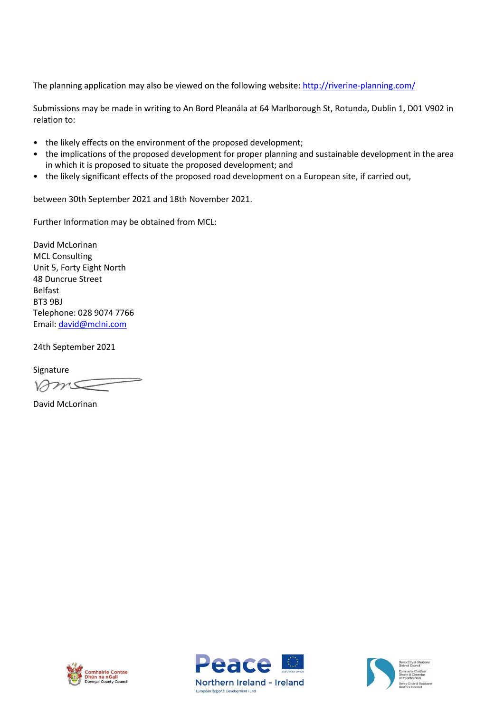The planning application may also be viewed on the following website[: http://riverine-planning.com/](http://riverine-planning.com/)

Submissions may be made in writing to An Bord Pleanála at 64 Marlborough St, Rotunda, Dublin 1, D01 V902 in relation to:

- the likely effects on the environment of the proposed development;
- the implications of the proposed development for proper planning and sustainable development in the area in which it is proposed to situate the proposed development; and
- the likely significant effects of the proposed road development on a European site, if carried out,

between 30th September 2021 and 18th November 2021.

Further Information may be obtained from MCL:

David McLorinan MCL Consulting Unit 5, Forty Eight North 48 Duncrue Street Belfast BT3 9BJ Telephone: 028 9074 7766 Email: [david@mclni.com](mailto:david@mclni.com)

24th September 2021

Signature

 $2215$ 

David McLorinan